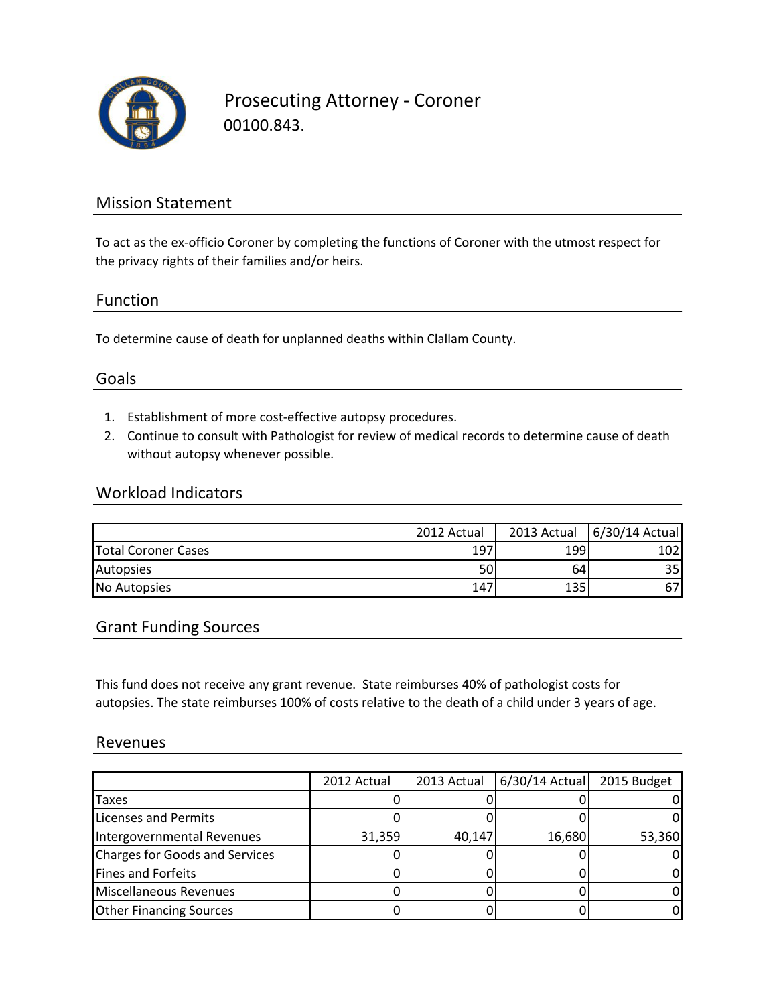

Prosecuting Attorney - Coroner 00100.843.

### Mission Statement

To act as the ex-officio Coroner by completing the functions of Coroner with the utmost respect for the privacy rights of their families and/or heirs.

#### Function

To determine cause of death for unplanned deaths within Clallam County.

### Goals

- 1. Establishment of more cost-effective autopsy procedures.
- 2. Continue to consult with Pathologist for review of medical records to determine cause of death without autopsy whenever possible.

#### Workload Indicators

|                            | 2012 Actual | 2013 Actual | 6/30/14 Actual |
|----------------------------|-------------|-------------|----------------|
| <b>Total Coroner Cases</b> | 197         | 199         | 102            |
| Autopsies                  | 50I         | 64          | 35             |
| No Autopsies               | 147         | 135         |                |

#### Grant Funding Sources

This fund does not receive any grant revenue. State reimburses 40% of pathologist costs for autopsies. The state reimburses 100% of costs relative to the death of a child under 3 years of age.

#### Revenues

|                                | 2012 Actual | 2013 Actual | $6/30/14$ Actual | 2015 Budget |
|--------------------------------|-------------|-------------|------------------|-------------|
| <b>Taxes</b>                   |             |             |                  |             |
| Licenses and Permits           |             |             |                  |             |
| Intergovernmental Revenues     | 31,359      | 40,147      | 16,680           | 53,360      |
| Charges for Goods and Services |             |             |                  |             |
| Fines and Forfeits             |             |             |                  |             |
| Miscellaneous Revenues         |             |             |                  |             |
| <b>Other Financing Sources</b> |             |             |                  |             |